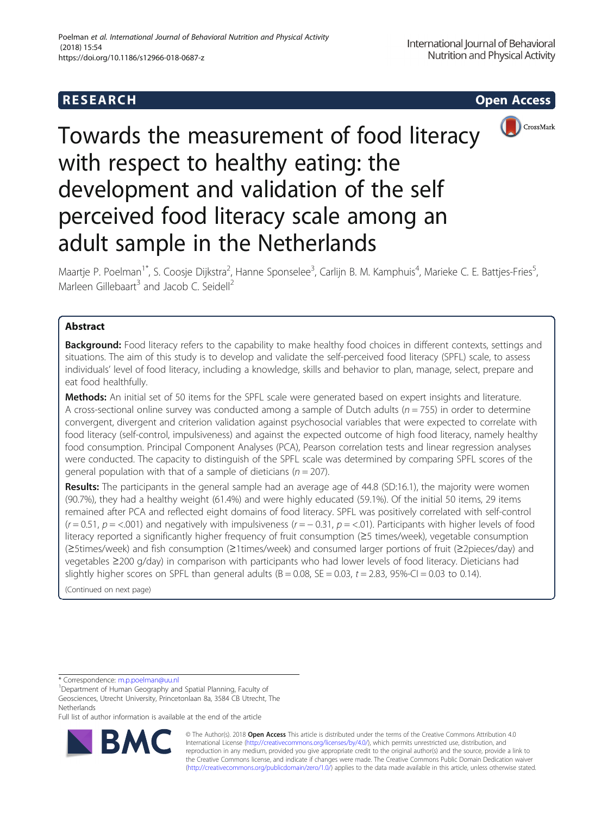## **RESEARCH CHINESEARCH CHINESEARCH CHINESE**



# Towards the measurement of food literacy with respect to healthy eating: the development and validation of the self perceived food literacy scale among an adult sample in the Netherlands

Maartje P. Poelman<sup>1\*</sup>, S. Coosje Dijkstra<sup>2</sup>, Hanne Sponselee<sup>3</sup>, Carlijn B. M. Kamphuis<sup>4</sup>, Marieke C. E. Battjes-Fries<sup>5</sup> , Marleen Gillebaart<sup>3</sup> and Jacob C. Seidell<sup>2</sup>

## Abstract

**Background:** Food literacy refers to the capability to make healthy food choices in different contexts, settings and situations. The aim of this study is to develop and validate the self-perceived food literacy (SPFL) scale, to assess individuals' level of food literacy, including a knowledge, skills and behavior to plan, manage, select, prepare and eat food healthfully.

Methods: An initial set of 50 items for the SPFL scale were generated based on expert insights and literature. A cross-sectional online survey was conducted among a sample of Dutch adults ( $n = 755$ ) in order to determine convergent, divergent and criterion validation against psychosocial variables that were expected to correlate with food literacy (self-control, impulsiveness) and against the expected outcome of high food literacy, namely healthy food consumption. Principal Component Analyses (PCA), Pearson correlation tests and linear regression analyses were conducted. The capacity to distinguish of the SPFL scale was determined by comparing SPFL scores of the general population with that of a sample of dieticians ( $n = 207$ ).

Results: The participants in the general sample had an average age of 44.8 (SD:16.1), the majority were women (90.7%), they had a healthy weight (61.4%) and were highly educated (59.1%). Of the initial 50 items, 29 items remained after PCA and reflected eight domains of food literacy. SPFL was positively correlated with self-control  $(r = 0.51, p = 0.001)$  and negatively with impulsiveness  $(r = -0.31, p = 0.01)$ . Participants with higher levels of food literacy reported a significantly higher frequency of fruit consumption (≥5 times/week), vegetable consumption (≥5times/week) and fish consumption (≥1times/week) and consumed larger portions of fruit (≥2pieces/day) and vegetables ≥200 g/day) in comparison with participants who had lower levels of food literacy. Dieticians had slightly higher scores on SPFL than general adults ( $B = 0.08$ ,  $SE = 0.03$ ,  $t = 2.83$ , 95%-CI = 0.03 to 0.14).

(Continued on next page)

<sup>1</sup>Department of Human Geography and Spatial Planning, Faculty of Geosciences, Utrecht University, Princetonlaan 8a, 3584 CB Utrecht, The **Netherlands** 

Full list of author information is available at the end of the article



© The Author(s). 2018 Open Access This article is distributed under the terms of the Creative Commons Attribution 4.0 International License [\(http://creativecommons.org/licenses/by/4.0/](http://creativecommons.org/licenses/by/4.0/)), which permits unrestricted use, distribution, and reproduction in any medium, provided you give appropriate credit to the original author(s) and the source, provide a link to the Creative Commons license, and indicate if changes were made. The Creative Commons Public Domain Dedication waiver [\(http://creativecommons.org/publicdomain/zero/1.0/](http://creativecommons.org/publicdomain/zero/1.0/)) applies to the data made available in this article, unless otherwise stated.

<sup>\*</sup> Correspondence: [m.p.poelman@uu.nl](mailto:m.p.poelman@uu.nl) <sup>1</sup>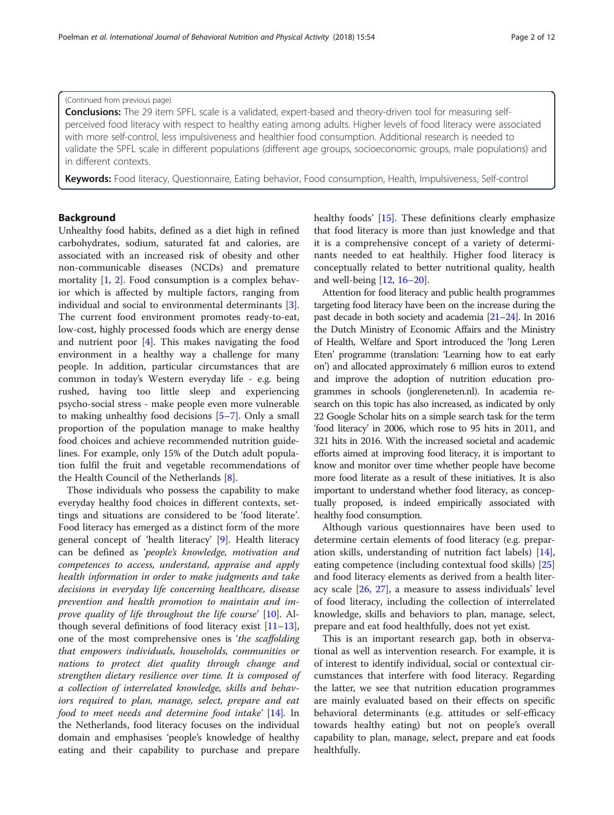#### (Continued from previous page)

**Conclusions:** The 29 item SPFL scale is a validated, expert-based and theory-driven tool for measuring selfperceived food literacy with respect to healthy eating among adults. Higher levels of food literacy were associated with more self-control, less impulsiveness and healthier food consumption. Additional research is needed to validate the SPFL scale in different populations (different age groups, socioeconomic groups, male populations) and in different contexts.

Keywords: Food literacy, Questionnaire, Eating behavior, Food consumption, Health, Impulsiveness, Self-control

## Background

Unhealthy food habits, defined as a diet high in refined carbohydrates, sodium, saturated fat and calories, are associated with an increased risk of obesity and other non-communicable diseases (NCDs) and premature mortality [[1,](#page-10-0) [2](#page-10-0)]. Food consumption is a complex behavior which is affected by multiple factors, ranging from individual and social to environmental determinants [\[3](#page-10-0)]. The current food environment promotes ready-to-eat, low-cost, highly processed foods which are energy dense and nutrient poor [[4\]](#page-10-0). This makes navigating the food environment in a healthy way a challenge for many people. In addition, particular circumstances that are common in today's Western everyday life - e.g. being rushed, having too little sleep and experiencing psycho-social stress - make people even more vulnerable to making unhealthy food decisions [\[5](#page-10-0)–[7](#page-10-0)]. Only a small proportion of the population manage to make healthy food choices and achieve recommended nutrition guidelines. For example, only 15% of the Dutch adult population fulfil the fruit and vegetable recommendations of the Health Council of the Netherlands [\[8](#page-10-0)].

Those individuals who possess the capability to make everyday healthy food choices in different contexts, settings and situations are considered to be 'food literate'. Food literacy has emerged as a distinct form of the more general concept of 'health literacy' [[9](#page-10-0)]. Health literacy can be defined as 'people's knowledge, motivation and competences to access, understand, appraise and apply health information in order to make judgments and take decisions in everyday life concerning healthcare, disease prevention and health promotion to maintain and improve quality of life throughout the life course' [\[10](#page-10-0)]. Although several definitions of food literacy exist [[11](#page-10-0)–[13](#page-10-0)], one of the most comprehensive ones is 'the scaffolding that empowers individuals, households, communities or nations to protect diet quality through change and strengthen dietary resilience over time. It is composed of a collection of interrelated knowledge, skills and behaviors required to plan, manage, select, prepare and eat food to meet needs and determine food intake' [\[14](#page-10-0)]. In the Netherlands, food literacy focuses on the individual domain and emphasises 'people's knowledge of healthy eating and their capability to purchase and prepare

healthy foods' [[15\]](#page-10-0). These definitions clearly emphasize that food literacy is more than just knowledge and that it is a comprehensive concept of a variety of determinants needed to eat healthily. Higher food literacy is conceptually related to better nutritional quality, health and well-being [[12,](#page-10-0) [16](#page-10-0)–[20](#page-10-0)].

Attention for food literacy and public health programmes targeting food literacy have been on the increase during the past decade in both society and academia [\[21](#page-10-0)–[24\]](#page-10-0). In 2016 the Dutch Ministry of Economic Affairs and the Ministry of Health, Welfare and Sport introduced the 'Jong Leren Eten' programme (translation: 'Learning how to eat early on') and allocated approximately 6 million euros to extend and improve the adoption of nutrition education programmes in schools (jonglereneten.nl). In academia research on this topic has also increased, as indicated by only 22 Google Scholar hits on a simple search task for the term 'food literacy' in 2006, which rose to 95 hits in 2011, and 321 hits in 2016. With the increased societal and academic efforts aimed at improving food literacy, it is important to know and monitor over time whether people have become more food literate as a result of these initiatives. It is also important to understand whether food literacy, as conceptually proposed, is indeed empirically associated with healthy food consumption.

Although various questionnaires have been used to determine certain elements of food literacy (e.g. preparation skills, understanding of nutrition fact labels) [\[14](#page-10-0)], eating competence (including contextual food skills) [[25](#page-10-0)] and food literacy elements as derived from a health literacy scale [\[26](#page-10-0), [27](#page-10-0)], a measure to assess individuals' level of food literacy, including the collection of interrelated knowledge, skills and behaviors to plan, manage, select, prepare and eat food healthfully, does not yet exist.

This is an important research gap, both in observational as well as intervention research. For example, it is of interest to identify individual, social or contextual circumstances that interfere with food literacy. Regarding the latter, we see that nutrition education programmes are mainly evaluated based on their effects on specific behavioral determinants (e.g. attitudes or self-efficacy towards healthy eating) but not on people's overall capability to plan, manage, select, prepare and eat foods healthfully.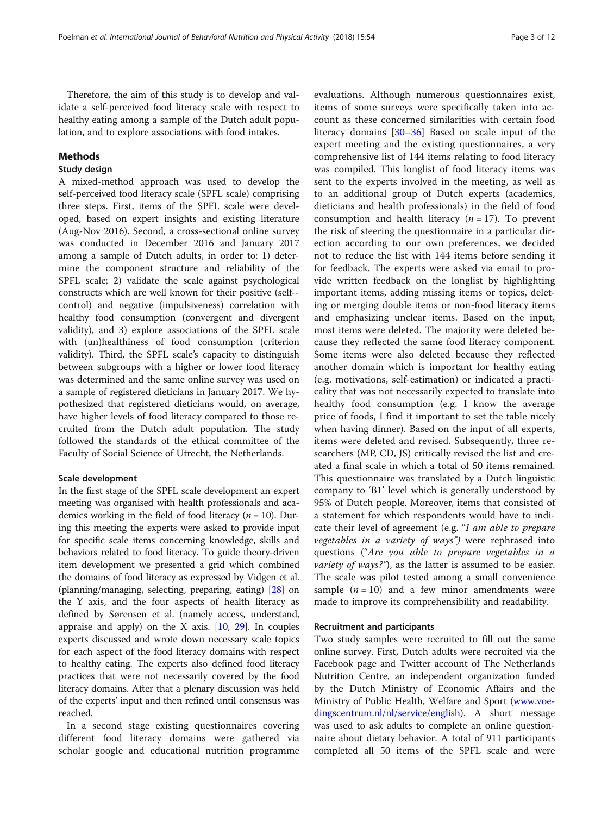Therefore, the aim of this study is to develop and validate a self-perceived food literacy scale with respect to healthy eating among a sample of the Dutch adult population, and to explore associations with food intakes.

#### Methods

## Study design

A mixed-method approach was used to develop the self-perceived food literacy scale (SPFL scale) comprising three steps. First, items of the SPFL scale were developed, based on expert insights and existing literature (Aug-Nov 2016). Second, a cross-sectional online survey was conducted in December 2016 and January 2017 among a sample of Dutch adults, in order to: 1) determine the component structure and reliability of the SPFL scale; 2) validate the scale against psychological constructs which are well known for their positive (self- control) and negative (impulsiveness) correlation with healthy food consumption (convergent and divergent validity), and 3) explore associations of the SPFL scale with (un)healthiness of food consumption (criterion validity). Third, the SPFL scale's capacity to distinguish between subgroups with a higher or lower food literacy was determined and the same online survey was used on a sample of registered dieticians in January 2017. We hypothesized that registered dieticians would, on average, have higher levels of food literacy compared to those recruited from the Dutch adult population. The study followed the standards of the ethical committee of the Faculty of Social Science of Utrecht, the Netherlands.

#### Scale development

In the first stage of the SPFL scale development an expert meeting was organised with health professionals and academics working in the field of food literacy ( $n = 10$ ). During this meeting the experts were asked to provide input for specific scale items concerning knowledge, skills and behaviors related to food literacy. To guide theory-driven item development we presented a grid which combined the domains of food literacy as expressed by Vidgen et al. (planning/managing, selecting, preparing, eating) [\[28](#page-10-0)] on the Y axis, and the four aspects of health literacy as defined by Sørensen et al. (namely access, understand, appraise and apply) on the X axis.  $[10, 29]$  $[10, 29]$  $[10, 29]$  $[10, 29]$ . In couples experts discussed and wrote down necessary scale topics for each aspect of the food literacy domains with respect to healthy eating. The experts also defined food literacy practices that were not necessarily covered by the food literacy domains. After that a plenary discussion was held of the experts' input and then refined until consensus was reached.

In a second stage existing questionnaires covering different food literacy domains were gathered via scholar google and educational nutrition programme

evaluations. Although numerous questionnaires exist, items of some surveys were specifically taken into account as these concerned similarities with certain food literacy domains [[30](#page-11-0)–[36\]](#page-11-0) Based on scale input of the expert meeting and the existing questionnaires, a very comprehensive list of 144 items relating to food literacy was compiled. This longlist of food literacy items was sent to the experts involved in the meeting, as well as to an additional group of Dutch experts (academics, dieticians and health professionals) in the field of food consumption and health literacy  $(n = 17)$ . To prevent the risk of steering the questionnaire in a particular direction according to our own preferences, we decided not to reduce the list with 144 items before sending it for feedback. The experts were asked via email to provide written feedback on the longlist by highlighting important items, adding missing items or topics, deleting or merging double items or non-food literacy items and emphasizing unclear items. Based on the input, most items were deleted. The majority were deleted because they reflected the same food literacy component. Some items were also deleted because they reflected another domain which is important for healthy eating (e.g. motivations, self-estimation) or indicated a practicality that was not necessarily expected to translate into healthy food consumption (e.g. I know the average price of foods, I find it important to set the table nicely when having dinner). Based on the input of all experts, items were deleted and revised. Subsequently, three researchers (MP, CD, JS) critically revised the list and created a final scale in which a total of 50 items remained. This questionnaire was translated by a Dutch linguistic company to 'B1' level which is generally understood by 95% of Dutch people. Moreover, items that consisted of a statement for which respondents would have to indicate their level of agreement (e.g. "I am able to prepare vegetables in a variety of ways") were rephrased into questions ("Are you able to prepare vegetables in a variety of ways?"), as the latter is assumed to be easier. The scale was pilot tested among a small convenience sample  $(n = 10)$  and a few minor amendments were made to improve its comprehensibility and readability.

#### Recruitment and participants

Two study samples were recruited to fill out the same online survey. First, Dutch adults were recruited via the Facebook page and Twitter account of The Netherlands Nutrition Centre, an independent organization funded by the Dutch Ministry of Economic Affairs and the Ministry of Public Health, Welfare and Sport [\(www.voe](http://www.voedingscentrum.nl/nl/service/english)[dingscentrum.nl/nl/service/english\)](http://www.voedingscentrum.nl/nl/service/english). A short message was used to ask adults to complete an online questionnaire about dietary behavior. A total of 911 participants completed all 50 items of the SPFL scale and were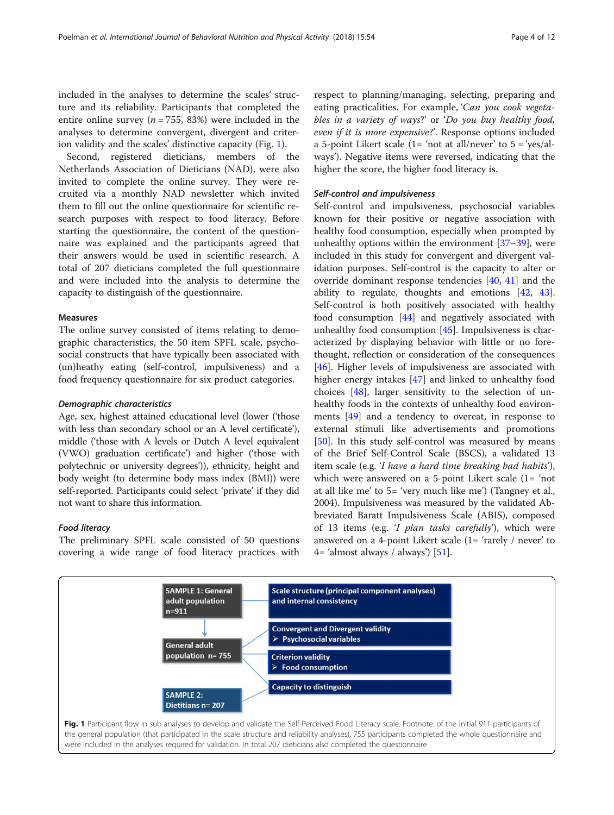included in the analyses to determine the scales' structure and its reliability. Participants that completed the entire online survey ( $n = 755$ , 83%) were included in the analyses to determine convergent, divergent and criterion validity and the scales' distinctive capacity (Fig. 1).

Second, registered dieticians, members of the Netherlands Association of Dieticians (NAD), were also invited to complete the online survey. They were recruited via a monthly NAD newsletter which invited them to fill out the online questionnaire for scientific research purposes with respect to food literacy. Before starting the questionnaire, the content of the questionnaire was explained and the participants agreed that their answers would be used in scientific research. A total of 207 dieticians completed the full questionnaire and were included into the analysis to determine the capacity to distinguish of the questionnaire.

#### Measures

The online survey consisted of items relating to demographic characteristics, the 50 item SPFL scale, psychosocial constructs that have typically been associated with (un)heathy eating (self-control, impulsiveness) and a food frequency questionnaire for six product categories.

#### Demographic characteristics

Age, sex, highest attained educational level (lower ('those with less than secondary school or an A level certificate'), middle ('those with A levels or Dutch A level equivalent (VWO) graduation certificate') and higher ('those with polytechnic or university degrees')), ethnicity, height and body weight (to determine body mass index (BMI)) were self-reported. Participants could select 'private' if they did not want to share this information.

#### Food literacy

The preliminary SPFL scale consisted of 50 questions covering a wide range of food literacy practices with

respect to planning/managing, selecting, preparing and eating practicalities. For example, 'Can you cook vegetables in a variety of ways?' or 'Do you buy healthy food, even if it is more expensive?'. Response options included a 5-point Likert scale  $(1= 'not at all/never' to 5 = 'yes/al- )$ ways'). Negative items were reversed, indicating that the higher the score, the higher food literacy is.

#### Self-control and impulsiveness

Self-control and impulsiveness, psychosocial variables known for their positive or negative association with healthy food consumption, especially when prompted by unhealthy options within the environment [\[37](#page-11-0)–[39\]](#page-11-0), were included in this study for convergent and divergent validation purposes. Self-control is the capacity to alter or override dominant response tendencies [[40](#page-11-0), [41](#page-11-0)] and the ability to regulate, thoughts and emotions [[42,](#page-11-0) [43](#page-11-0)]. Self-control is both positively associated with healthy food consumption [\[44](#page-11-0)] and negatively associated with unhealthy food consumption  $[45]$  $[45]$ . Impulsiveness is characterized by displaying behavior with little or no forethought, reflection or consideration of the consequences [[46\]](#page-11-0). Higher levels of impulsiveness are associated with higher energy intakes [\[47](#page-11-0)] and linked to unhealthy food choices [\[48\]](#page-11-0), larger sensitivity to the selection of unhealthy foods in the contexts of unhealthy food environments [[49\]](#page-11-0) and a tendency to overeat, in response to external stimuli like advertisements and promotions [[50\]](#page-11-0). In this study self-control was measured by means of the Brief Self-Control Scale (BSCS), a validated 13 item scale (e.g. 'I have a hard time breaking bad habits'), which were answered on a 5-point Likert scale (1= 'not at all like me' to 5= 'very much like me') (Tangney et al., 2004). Impulsiveness was measured by the validated Abbreviated Baratt Impulsiveness Scale (ABIS), composed of 13 items (e.g. 'I plan tasks carefully'), which were answered on a 4-point Likert scale (1= 'rarely / never' to  $4=$  'almost always / always') [[51](#page-11-0)].

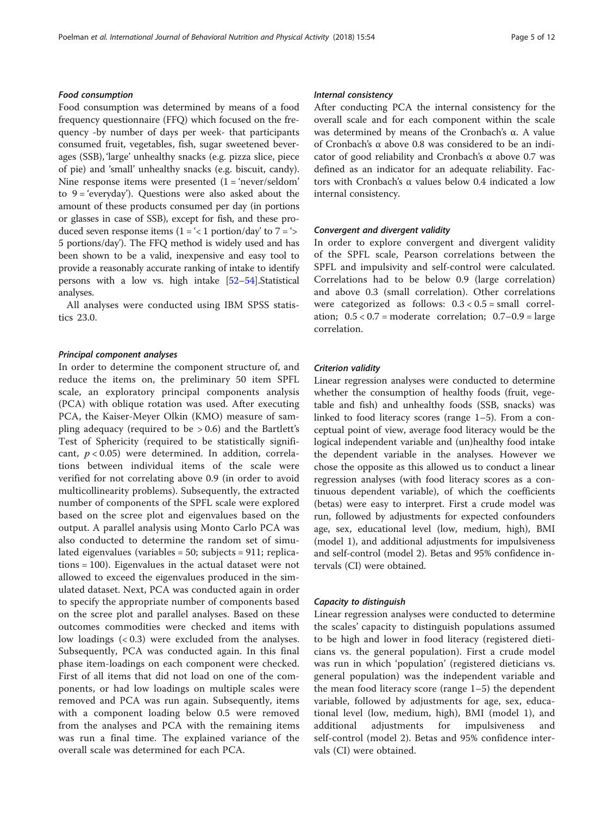#### Food consumption

Food consumption was determined by means of a food frequency questionnaire (FFQ) which focused on the frequency -by number of days per week- that participants consumed fruit, vegetables, fish, sugar sweetened beverages (SSB), 'large' unhealthy snacks (e.g. pizza slice, piece of pie) and 'small' unhealthy snacks (e.g. biscuit, candy). Nine response items were presented  $(1 - 'never/seldom')$ to 9 = 'everyday'). Questions were also asked about the amount of these products consumed per day (in portions or glasses in case of SSB), except for fish, and these produced seven response items (1 =  $\leq$  1 portion/day' to 7 =  $\geq$ 5 portions/day'). The FFQ method is widely used and has been shown to be a valid, inexpensive and easy tool to provide a reasonably accurate ranking of intake to identify persons with a low vs. high intake [\[52](#page-11-0)–[54](#page-11-0)].Statistical analyses.

All analyses were conducted using IBM SPSS statistics 23.0.

#### Principal component analyses

In order to determine the component structure of, and reduce the items on, the preliminary 50 item SPFL scale, an exploratory principal components analysis (PCA) with oblique rotation was used. After executing PCA, the Kaiser-Meyer Olkin (KMO) measure of sampling adequacy (required to be  $> 0.6$ ) and the Bartlett's Test of Sphericity (required to be statistically significant,  $p < 0.05$ ) were determined. In addition, correlations between individual items of the scale were verified for not correlating above 0.9 (in order to avoid multicollinearity problems). Subsequently, the extracted number of components of the SPFL scale were explored based on the scree plot and eigenvalues based on the output. A parallel analysis using Monto Carlo PCA was also conducted to determine the random set of simulated eigenvalues (variables = 50; subjects = 911; replications = 100). Eigenvalues in the actual dataset were not allowed to exceed the eigenvalues produced in the simulated dataset. Next, PCA was conducted again in order to specify the appropriate number of components based on the scree plot and parallel analyses. Based on these outcomes commodities were checked and items with low loadings  $( $0.3$ ) were excluded from the analyses.$ Subsequently, PCA was conducted again. In this final phase item-loadings on each component were checked. First of all items that did not load on one of the components, or had low loadings on multiple scales were removed and PCA was run again. Subsequently, items with a component loading below 0.5 were removed from the analyses and PCA with the remaining items was run a final time. The explained variance of the overall scale was determined for each PCA.

#### Internal consistency

After conducting PCA the internal consistency for the overall scale and for each component within the scale was determined by means of the Cronbach's α. A value of Cronbach's α above 0.8 was considered to be an indicator of good reliability and Cronbach's α above 0.7 was defined as an indicator for an adequate reliability. Factors with Cronbach's α values below 0.4 indicated a low internal consistency.

#### Convergent and divergent validity

In order to explore convergent and divergent validity of the SPFL scale, Pearson correlations between the SPFL and impulsivity and self-control were calculated. Correlations had to be below 0.9 (large correlation) and above 0.3 (small correlation). Other correlations were categorized as follows:  $0.3 < 0.5$  = small correlation;  $0.5 < 0.7$  = moderate correlation;  $0.7-0.9$  = large correlation.

#### Criterion validity

Linear regression analyses were conducted to determine whether the consumption of healthy foods (fruit, vegetable and fish) and unhealthy foods (SSB, snacks) was linked to food literacy scores (range 1–5). From a conceptual point of view, average food literacy would be the logical independent variable and (un)healthy food intake the dependent variable in the analyses. However we chose the opposite as this allowed us to conduct a linear regression analyses (with food literacy scores as a continuous dependent variable), of which the coefficients (betas) were easy to interpret. First a crude model was run, followed by adjustments for expected confounders age, sex, educational level (low, medium, high), BMI (model 1), and additional adjustments for impulsiveness and self-control (model 2). Betas and 95% confidence intervals (CI) were obtained.

#### Capacity to distinguish

Linear regression analyses were conducted to determine the scales' capacity to distinguish populations assumed to be high and lower in food literacy (registered dieticians vs. the general population). First a crude model was run in which 'population' (registered dieticians vs. general population) was the independent variable and the mean food literacy score (range 1–5) the dependent variable, followed by adjustments for age, sex, educational level (low, medium, high), BMI (model 1), and additional adjustments for impulsiveness and self-control (model 2). Betas and 95% confidence intervals (CI) were obtained.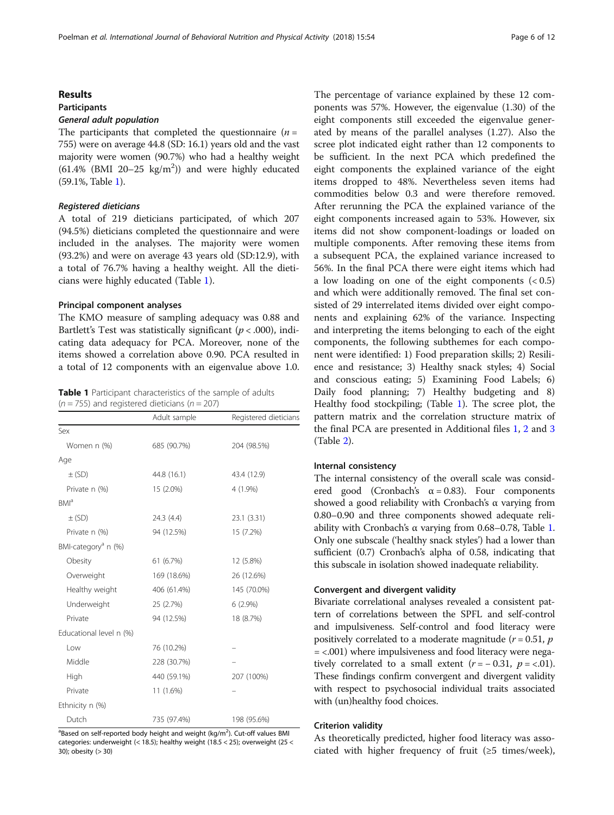### Results

#### Participants

#### General adult population

The participants that completed the questionnaire  $(n =$ 755) were on average 44.8 (SD: 16.1) years old and the vast majority were women (90.7%) who had a healthy weight  $(61.4\%$   $(BMI 20-25 kg/m<sup>2</sup>))$  and were highly educated (59.1%, Table 1).

#### Registered dieticians

A total of 219 dieticians participated, of which 207 (94.5%) dieticians completed the questionnaire and were included in the analyses. The majority were women (93.2%) and were on average 43 years old (SD:12.9), with a total of 76.7% having a healthy weight. All the dieticians were highly educated (Table 1).

#### Principal component analyses

The KMO measure of sampling adequacy was 0.88 and Bartlett's Test was statistically significant ( $p < .000$ ), indicating data adequacy for PCA. Moreover, none of the items showed a correlation above 0.90. PCA resulted in a total of 12 components with an eigenvalue above 1.0.

Table 1 Participant characteristics of the sample of adults  $(n = 755)$  and registered dieticians  $(n = 207)$ 

|                                 | Adult sample | Registered dieticians |
|---------------------------------|--------------|-----------------------|
| Sex                             |              |                       |
| Women n (%)                     | 685 (90.7%)  | 204 (98.5%)           |
| Age                             |              |                       |
| $\pm$ (SD)                      | 44.8 (16.1)  | 43.4 (12.9)           |
| Private n (%)                   | 15 (2.0%)    | 4 (1.9%)              |
| BMI <sup>a</sup>                |              |                       |
| $\pm$ (SD)                      | 24.3(4.4)    | 23.1 (3.31)           |
| Private n (%)                   | 94 (12.5%)   | 15 (7.2%)             |
| BMI-category <sup>a</sup> n (%) |              |                       |
| Obesity                         | 61 (6.7%)    | 12 (5.8%)             |
| Overweight                      | 169 (18.6%)  | 26 (12.6%)            |
| Healthy weight                  | 406 (61.4%)  | 145 (70.0%)           |
| Underweight                     | 25 (2.7%)    | $6(2.9\%)$            |
| Private                         | 94 (12.5%)   | 18 (8.7%)             |
| Educational level n (%)         |              |                       |
| Low                             | 76 (10.2%)   |                       |
| Middle                          | 228 (30.7%)  |                       |
| High                            | 440 (59.1%)  | 207 (100%)            |
| Private                         | 11 (1.6%)    |                       |
| Ethnicity n (%)                 |              |                       |
| Dutch                           | 735 (97.4%)  | 198 (95.6%)           |

<sup>a</sup>Based on self-reported body height and weight (kg/m<sup>2</sup>). Cut-off values BMI categories: underweight (< 18.5); healthy weight (18.5 < 25); overweight (25 < 30); obesity (> 30)

The percentage of variance explained by these 12 components was 57%. However, the eigenvalue (1.30) of the eight components still exceeded the eigenvalue generated by means of the parallel analyses (1.27). Also the scree plot indicated eight rather than 12 components to be sufficient. In the next PCA which predefined the eight components the explained variance of the eight items dropped to 48%. Nevertheless seven items had commodities below 0.3 and were therefore removed. After rerunning the PCA the explained variance of the eight components increased again to 53%. However, six items did not show component-loadings or loaded on multiple components. After removing these items from a subsequent PCA, the explained variance increased to 56%. In the final PCA there were eight items which had a low loading on one of the eight components  $( $0.5$ )$ and which were additionally removed. The final set consisted of 29 interrelated items divided over eight components and explaining 62% of the variance. Inspecting and interpreting the items belonging to each of the eight components, the following subthemes for each component were identified: 1) Food preparation skills; 2) Resilience and resistance; 3) Healthy snack styles; 4) Social and conscious eating; 5) Examining Food Labels; 6) Daily food planning; 7) Healthy budgeting and 8) Healthy food stockpiling; (Table 1). The scree plot, the pattern matrix and the correlation structure matrix of the final PCA are presented in Additional files [1,](#page-9-0) [2](#page-9-0) and [3](#page-9-0) (Table [2\)](#page-6-0).

#### Internal consistency

The internal consistency of the overall scale was considered good (Cronbach's  $\alpha = 0.83$ ). Four components showed a good reliability with Cronbach's α varying from 0.80–0.90 and three components showed adequate reliability with Cronbach's  $\alpha$  varying from 0.68–0.78, Table 1. Only one subscale ('healthy snack styles') had a lower than sufficient (0.7) Cronbach's alpha of 0.58, indicating that this subscale in isolation showed inadequate reliability.

### Convergent and divergent validity

Bivariate correlational analyses revealed a consistent pattern of correlations between the SPFL and self-control and impulsiveness. Self-control and food literacy were positively correlated to a moderate magnitude ( $r = 0.51$ ,  $p$ = <.001) where impulsiveness and food literacy were negatively correlated to a small extent  $(r = -0.31, p = <.01)$ . These findings confirm convergent and divergent validity with respect to psychosocial individual traits associated with (un)healthy food choices.

#### Criterion validity

As theoretically predicted, higher food literacy was associated with higher frequency of fruit  $(\geq 5 \text{ times/week})$ ,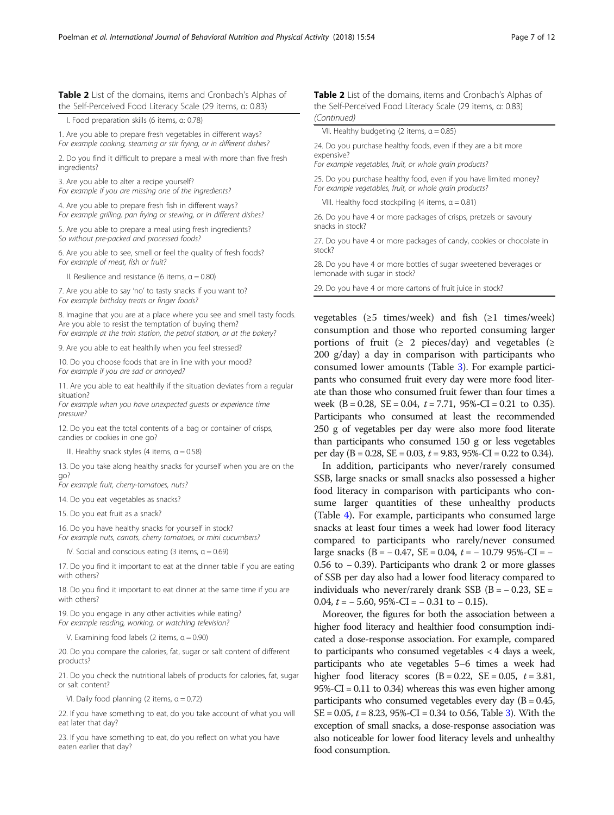<span id="page-6-0"></span>Table 2 List of the domains, items and Cronbach's Alphas of the Self-Perceived Food Literacy Scale (29 items, α: 0.83)

I. Food preparation skills (6 items, α: 0.78)

1. Are you able to prepare fresh vegetables in different ways? For example cooking, steaming or stir frying, or in different dishes?

2. Do you find it difficult to prepare a meal with more than five fresh ingredients?

3. Are you able to alter a recipe yourself? For example if you are missing one of the ingredients?

4. Are you able to prepare fresh fish in different ways? For example grilling, pan frying or stewing, or in different dishes?

5. Are you able to prepare a meal using fresh ingredients? So without pre-packed and processed foods?

6. Are you able to see, smell or feel the quality of fresh foods? For example of meat, fish or fruit?

II. Resilience and resistance (6 items,  $α = 0.80$ )

7. Are you able to say 'no' to tasty snacks if you want to? For example birthday treats or finger foods?

8. Imagine that you are at a place where you see and smell tasty foods. Are you able to resist the temptation of buying them? For example at the train station, the petrol station, or at the bakery?

9. Are you able to eat healthily when you feel stressed?

10. Do you choose foods that are in line with your mood? For example if you are sad or annoyed?

11. Are you able to eat healthily if the situation deviates from a regular situation?

For example when you have unexpected guests or experience time pressure?

12. Do you eat the total contents of a bag or container of crisps, candies or cookies in one go?

III. Healthy snack styles (4 items,  $\alpha = 0.58$ )

13. Do you take along healthy snacks for yourself when you are on the go?

For example fruit, cherry-tomatoes, nuts?

14. Do you eat vegetables as snacks?

15. Do you eat fruit as a snack?

16. Do you have healthy snacks for yourself in stock? For example nuts, carrots, cherry tomatoes, or mini cucumbers?

IV. Social and conscious eating (3 items,  $\alpha = 0.69$ )

17. Do you find it important to eat at the dinner table if you are eating with others?

18. Do you find it important to eat dinner at the same time if you are with others?

19. Do you engage in any other activities while eating? For example reading, working, or watching television?

V. Examining food labels (2 items,  $\alpha = 0.90$ )

20. Do you compare the calories, fat, sugar or salt content of different products?

21. Do you check the nutritional labels of products for calories, fat, sugar or salt content?

VI. Daily food planning (2 items,  $\alpha = 0.72$ )

22. If you have something to eat, do you take account of what you will eat later that day?

23. If you have something to eat, do you reflect on what you have eaten earlier that day?

Table 2 List of the domains, items and Cronbach's Alphas of the Self-Perceived Food Literacy Scale (29 items, α: 0.83) (Continued)

VII. Healthy budgeting (2 items,  $\alpha = 0.85$ )

24. Do you purchase healthy foods, even if they are a bit more expensive?

For example vegetables, fruit, or whole grain products?

25. Do you purchase healthy food, even if you have limited money? For example vegetables, fruit, or whole grain products?

VIII. Healthy food stockpiling (4 items,  $\alpha = 0.81$ )

26. Do you have 4 or more packages of crisps, pretzels or savoury snacks in stock?

27. Do you have 4 or more packages of candy, cookies or chocolate in stock?

28. Do you have 4 or more bottles of sugar sweetened beverages or lemonade with sugar in stock?

29. Do you have 4 or more cartons of fruit juice in stock?

vegetables ( $\geq$ 5 times/week) and fish ( $\geq$ 1 times/week) consumption and those who reported consuming larger portions of fruit ( $\geq 2$  pieces/day) and vegetables ( $\geq$ 200 g/day) a day in comparison with participants who consumed lower amounts (Table [3](#page-7-0)). For example participants who consumed fruit every day were more food literate than those who consumed fruit fewer than four times a week (B = 0.28, SE = 0.04,  $t = 7.71$ , 95%-CI = 0.21 to 0.35). Participants who consumed at least the recommended 250 g of vegetables per day were also more food literate than participants who consumed 150 g or less vegetables per day (B = 0.28, SE = 0.03,  $t = 9.83$ , 95%-CI = 0.22 to 0.34).

In addition, participants who never/rarely consumed SSB, large snacks or small snacks also possessed a higher food literacy in comparison with participants who consume larger quantities of these unhealthy products (Table [4\)](#page-8-0). For example, participants who consumed large snacks at least four times a week had lower food literacy compared to participants who rarely/never consumed large snacks (B =  $-0.47$ , SE = 0.04,  $t = -10.79$  95%-CI =  $-$ 0.56 to − 0.39). Participants who drank 2 or more glasses of SSB per day also had a lower food literacy compared to individuals who never/rarely drank SSB ( $B = -0.23$ ,  $SE =$ 0.04,  $t = -5.60$ , 95%-CI =  $-0.31$  to  $-0.15$ ).

Moreover, the figures for both the association between a higher food literacy and healthier food consumption indicated a dose-response association. For example, compared to participants who consumed vegetables < 4 days a week, participants who ate vegetables 5–6 times a week had higher food literacy scores  $(B = 0.22, SE = 0.05, t = 3.81,$  $95\%$ -CI = 0.11 to 0.34) whereas this was even higher among participants who consumed vegetables every day  $(B = 0.45,$ SE = 0.05,  $t = 8.23$  $t = 8.23$ , 95%-CI = 0.34 to 0.56, Table 3). With the exception of small snacks, a dose-response association was also noticeable for lower food literacy levels and unhealthy food consumption.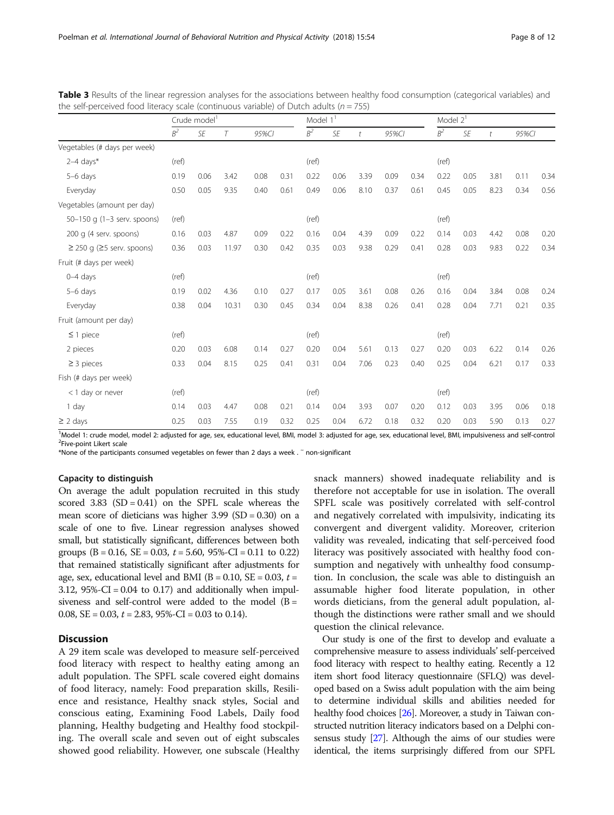|                                       | Crude model <sup>1</sup> |      |       |       |      |                  | Model $11$ |      |       | Model $21$       |       |      |           |       |      |
|---------------------------------------|--------------------------|------|-------|-------|------|------------------|------------|------|-------|------------------|-------|------|-----------|-------|------|
|                                       | $\overline{B^2}$         | SE   | T     | 95%CI |      | $\overline{B^2}$ | SE         | t    | 95%CI | $\overline{B^2}$ |       | SE   | $\bar{t}$ | 95%CI |      |
| Vegetables (# days per week)          |                          |      |       |       |      |                  |            |      |       |                  |       |      |           |       |      |
| $2-4$ days*                           | (ref)                    |      |       |       |      | (ref)            |            |      |       |                  | (ref) |      |           |       |      |
| $5-6$ days                            | 0.19                     | 0.06 | 3.42  | 0.08  | 0.31 | 0.22             | 0.06       | 3.39 | 0.09  | 0.34             | 0.22  | 0.05 | 3.81      | 0.11  | 0.34 |
| Everyday                              | 0.50                     | 0.05 | 9.35  | 0.40  | 0.61 | 0.49             | 0.06       | 8.10 | 0.37  | 0.61             | 0.45  | 0.05 | 8.23      | 0.34  | 0.56 |
| Vegetables (amount per day)           |                          |      |       |       |      |                  |            |      |       |                  |       |      |           |       |      |
| 50-150 g (1-3 serv. spoons)           | (ref)                    |      |       |       |      | (ref)            |            |      |       |                  | (ref) |      |           |       |      |
| 200 g (4 serv. spoons)                | 0.16                     | 0.03 | 4.87  | 0.09  | 0.22 | 0.16             | 0.04       | 4.39 | 0.09  | 0.22             | 0.14  | 0.03 | 4.42      | 0.08  | 0.20 |
| $\geq$ 250 g ( $\geq$ 5 serv. spoons) | 0.36                     | 0.03 | 11.97 | 0.30  | 0.42 | 0.35             | 0.03       | 9.38 | 0.29  | 0.41             | 0.28  | 0.03 | 9.83      | 0.22  | 0.34 |
| Fruit (# days per week)               |                          |      |       |       |      |                  |            |      |       |                  |       |      |           |       |      |
| $0 - 4$ days                          | (ref)                    |      |       |       |      | (ref)            |            |      |       |                  | (ref) |      |           |       |      |
| $5-6$ days                            | 0.19                     | 0.02 | 4.36  | 0.10  | 0.27 | 0.17             | 0.05       | 3.61 | 0.08  | 0.26             | 0.16  | 0.04 | 3.84      | 0.08  | 0.24 |
| Everyday                              | 0.38                     | 0.04 | 10.31 | 0.30  | 0.45 | 0.34             | 0.04       | 8.38 | 0.26  | 0.41             | 0.28  | 0.04 | 7.71      | 0.21  | 0.35 |
| Fruit (amount per day)                |                          |      |       |       |      |                  |            |      |       |                  |       |      |           |       |      |
| $\leq$ 1 piece                        | (ref)                    |      |       |       |      | (ref)            |            |      |       |                  | (ref) |      |           |       |      |
| 2 pieces                              | 0.20                     | 0.03 | 6.08  | 0.14  | 0.27 | 0.20             | 0.04       | 5.61 | 0.13  | 0.27             | 0.20  | 0.03 | 6.22      | 0.14  | 0.26 |
| $\geq$ 3 pieces                       | 0.33                     | 0.04 | 8.15  | 0.25  | 0.41 | 0.31             | 0.04       | 7.06 | 0.23  | 0.40             | 0.25  | 0.04 | 6.21      | 0.17  | 0.33 |
| Fish (# days per week)                |                          |      |       |       |      |                  |            |      |       |                  |       |      |           |       |      |
| <1 day or never                       | (ref)                    |      |       |       |      | (ref)            |            |      |       |                  | (ref) |      |           |       |      |
| 1 day                                 | 0.14                     | 0.03 | 4.47  | 0.08  | 0.21 | 0.14             | 0.04       | 3.93 | 0.07  | 0.20             | 0.12  | 0.03 | 3.95      | 0.06  | 0.18 |
| $\geq$ 2 days                         | 0.25                     | 0.03 | 7.55  | 0.19  | 0.32 | 0.25             | 0.04       | 6.72 | 0.18  | 0.32             | 0.20  | 0.03 | 5.90      | 0.13  | 0.27 |

<span id="page-7-0"></span>Table 3 Results of the linear regression analyses for the associations between healthy food consumption (categorical variables) and the self-perceived food literacy scale (continuous variable) of Dutch adults ( $n = 755$ )

<sup>1</sup>Model 1: crude model, model 2: adjusted for age, sex, educational level, BMI, model 3: adjusted for age, sex, educational level, BMI, impulsiveness and self-control <sup>2</sup>Five-point Likert scale

\*None of the participants consumed vegetables on fewer than 2 days a week . <sup>~</sup> non-significant

## Capacity to distinguish

On average the adult population recruited in this study scored  $3.83$  (SD = 0.41) on the SPFL scale whereas the mean score of dieticians was higher 3.99 (SD = 0.30) on a scale of one to five. Linear regression analyses showed small, but statistically significant, differences between both groups (B = 0.16, SE = 0.03,  $t = 5.60$ , 95%-CI = 0.11 to 0.22) that remained statistically significant after adjustments for age, sex, educational level and BMI ( $B = 0.10$ ,  $SE = 0.03$ ,  $t =$ 3.12,  $95\%$ -CI = 0.04 to 0.17) and additionally when impulsiveness and self-control were added to the model  $(B =$ 0.08,  $SE = 0.03$ ,  $t = 2.83$ ,  $95\%$ -CI = 0.03 to 0.14).

## **Discussion**

A 29 item scale was developed to measure self-perceived food literacy with respect to healthy eating among an adult population. The SPFL scale covered eight domains of food literacy, namely: Food preparation skills, Resilience and resistance, Healthy snack styles, Social and conscious eating, Examining Food Labels, Daily food planning, Healthy budgeting and Healthy food stockpiling. The overall scale and seven out of eight subscales showed good reliability. However, one subscale (Healthy snack manners) showed inadequate reliability and is therefore not acceptable for use in isolation. The overall SPFL scale was positively correlated with self-control and negatively correlated with impulsivity, indicating its convergent and divergent validity. Moreover, criterion validity was revealed, indicating that self-perceived food literacy was positively associated with healthy food consumption and negatively with unhealthy food consumption. In conclusion, the scale was able to distinguish an assumable higher food literate population, in other words dieticians, from the general adult population, although the distinctions were rather small and we should question the clinical relevance.

Our study is one of the first to develop and evaluate a comprehensive measure to assess individuals' self-perceived food literacy with respect to healthy eating. Recently a 12 item short food literacy questionnaire (SFLQ) was developed based on a Swiss adult population with the aim being to determine individual skills and abilities needed for healthy food choices [\[26](#page-10-0)]. Moreover, a study in Taiwan constructed nutrition literacy indicators based on a Delphi consensus study [\[27](#page-10-0)]. Although the aims of our studies were identical, the items surprisingly differed from our SPFL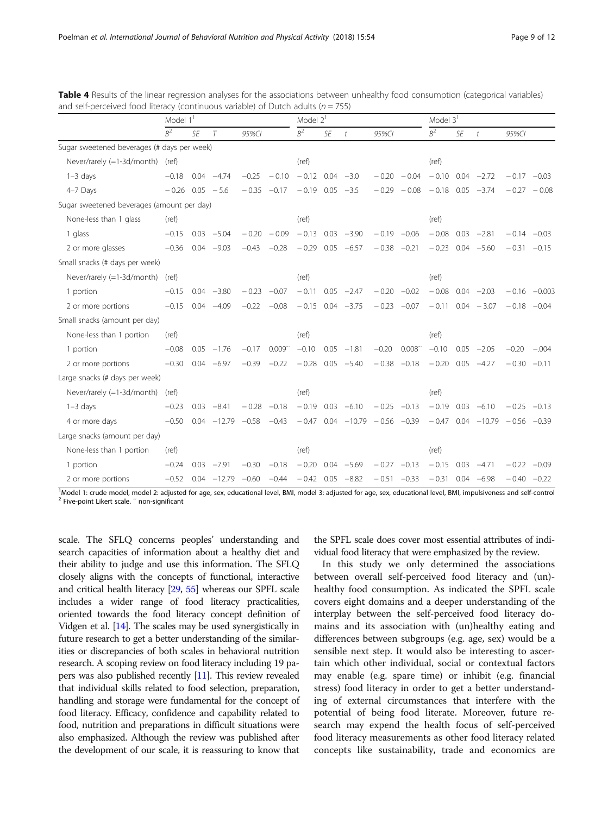|                                             | Model $11$          |      |                     |               |                 | Model $21$           |    |                                       |               |                 | Model $31$                           |    |                                       |               |                |
|---------------------------------------------|---------------------|------|---------------------|---------------|-----------------|----------------------|----|---------------------------------------|---------------|-----------------|--------------------------------------|----|---------------------------------------|---------------|----------------|
|                                             | $R^2$               | SE   | $\tau$              | 95%CI         |                 | B <sup>2</sup>       | SE | $\ddot{\phantom{1}}$                  | 95%CI         |                 | B <sup>2</sup>                       | SE | $\ddagger$                            | 95%CI         |                |
| Sugar sweetened beverages (# days per week) |                     |      |                     |               |                 |                      |    |                                       |               |                 |                                      |    |                                       |               |                |
| Never/rarely (=1-3d/month) (ref)            |                     |      |                     |               |                 | (ref)                |    |                                       |               |                 | (ref)                                |    |                                       |               |                |
| $1-3$ days                                  | $-0.18$             |      | $0.04 -4.74$        |               | $-0.25 - 0.10$  | $-0.12$ 0.04 $-3.0$  |    |                                       |               | $-0.20 - 0.04$  | $-0.10$ 0.04 $-2.72$                 |    |                                       |               | $-0.17 -0.03$  |
| 4-7 Days                                    | $-0.26$ 0.05 $-5.6$ |      |                     |               | $-0.35 -0.17$   | $-0.19$ 0.05 $-3.5$  |    |                                       |               |                 | $-0.29 - 0.08 - 0.18$ 0.05 -3.74     |    |                                       |               | $-0.27 - 0.08$ |
| Sugar sweetened beverages (amount per day)  |                     |      |                     |               |                 |                      |    |                                       |               |                 |                                      |    |                                       |               |                |
| None-less than 1 glass                      | (ref)               |      |                     |               |                 | (ref)                |    |                                       |               |                 | (ref)                                |    |                                       |               |                |
| 1 glass                                     | $-0.15$             |      | $0.03 -5.04$        |               | $-0.20 - 0.09$  |                      |    | $-0.13$ 0.03 $-3.90$                  | $-0.19 -0.06$ |                 | $-0.08$                              |    | $0.03 -2.81$                          |               | $-0.14 -0.03$  |
| 2 or more glasses                           | $-0.36$             |      | $0.04 -9.03$        | $-0.43$       | $-0.28$         | $-0.29$ 0.05 $-6.57$ |    |                                       |               |                 | $-0.38$ $-0.21$ $-0.23$ 0.04 $-5.60$ |    |                                       | $-0.31 -0.15$ |                |
| Small snacks (# days per week)              |                     |      |                     |               |                 |                      |    |                                       |               |                 |                                      |    |                                       |               |                |
| Never/rarely (=1-3d/month)                  | (ref)               |      |                     |               |                 | (ref)                |    |                                       |               |                 | (ref)                                |    |                                       |               |                |
| 1 portion                                   | $-0.15$             |      | $0.04 -3.80$        | $-0.23 -0.07$ |                 |                      |    | $-0.11$ 0.05 $-2.47$                  |               | $-0.20 -0.02$   |                                      |    | $-0.08$ 0.04 $-2.03$                  |               | $-0.16 -0.003$ |
| 2 or more portions                          | $-0.15$             |      | $0.04 -4.09$        | $-0.22$       | $-0.08$         |                      |    | $-0.15$ 0.04 $-3.75$                  |               | $-0.23 -0.07$   | $-0.11$                              |    | $0.04 - 3.07$                         | $-0.18 -0.04$ |                |
| Small snacks (amount per day)               |                     |      |                     |               |                 |                      |    |                                       |               |                 |                                      |    |                                       |               |                |
| None-less than 1 portion                    | (ref)               |      |                     |               |                 | (ref)                |    |                                       |               |                 | (ref)                                |    |                                       |               |                |
| 1 portion                                   | $-0.08$             |      | $0.05 -1.76$        | $-0.17$       | $0.009^{\circ}$ | $-0.10$              |    | $0.05 -1.81$                          | $-0.20$       | $0.008^{\circ}$ | $-0.10$                              |    | $0.05 -2.05$                          | $-0.20$       | $-.004$        |
| 2 or more portions                          | $-0.30$             |      | $0.04 -6.97$        | $-0.39$       | $-0.22$         | $-0.28$              |    | $0.05 -5.40$                          | $-0.38 -0.18$ |                 | $-0.20$                              |    | $0.05 -4.27$                          | $-0.30 -0.11$ |                |
| Large snacks (# days per week)              |                     |      |                     |               |                 |                      |    |                                       |               |                 |                                      |    |                                       |               |                |
| Never/rarely (=1-3d/month)                  | (ref)               |      |                     |               |                 | (ref)                |    |                                       |               |                 | (ref)                                |    |                                       |               |                |
| $1-3$ days                                  | $-0.23$             | 0.03 | $-8.41$             | $-0.28 -0.18$ |                 |                      |    | $-0.19$ 0.03 $-6.10$ $-0.25$ $-0.13$  |               |                 | $-0.19$ 0.03 $-6.10$                 |    |                                       | $-0.25 -0.13$ |                |
| 4 or more days                              | $-0.50$             |      | $0.04 -12.79 -0.58$ |               | $-0.43$         |                      |    | $-0.47$ 0.04 $-10.79$ $-0.56$ $-0.39$ |               |                 |                                      |    | $-0.47$ 0.04 $-10.79$ $-0.56$ $-0.39$ |               |                |
| Large snacks (amount per day)               |                     |      |                     |               |                 |                      |    |                                       |               |                 |                                      |    |                                       |               |                |
| None-less than 1 portion                    | (ref)               |      |                     |               |                 | (ref)                |    |                                       |               |                 | (ref)                                |    |                                       |               |                |
| 1 portion                                   | $-0.24$             | 0.03 | $-7.91$             | $-0.30$       | $-0.18$         |                      |    | $-0.20$ 0.04 $-5.69$                  | $-0.27 -0.13$ |                 | $-0.15$ 0.03 $-4.71$                 |    |                                       | $-0.22 -0.09$ |                |
| 2 or more portions                          | $-0.52$             |      | $0.04 -12.79 -0.60$ |               | $-0.44$         | $-0.42$ 0.05 $-8.82$ |    |                                       |               | $-0.51 -0.33$   | $-0.31$ 0.04 $-6.98$                 |    |                                       |               | $-0.40 -0.22$  |

<span id="page-8-0"></span>Table 4 Results of the linear regression analyses for the associations between unhealthy food consumption (categorical variables) and self-perceived food literacy (continuous variable) of Dutch adults ( $n = 755$ )

<sup>1</sup>Model 1: crude model, model 2: adjusted for age, sex, educational level, BMI, model 3: adjusted for age, sex, educational level, BMI, impulsiveness and self-control  $2$  Five-point Likert scale.  $\tilde{ }$  non-significant

scale. The SFLQ concerns peoples' understanding and search capacities of information about a healthy diet and their ability to judge and use this information. The SFLQ closely aligns with the concepts of functional, interactive and critical health literacy [[29](#page-11-0), [55\]](#page-11-0) whereas our SPFL scale includes a wider range of food literacy practicalities, oriented towards the food literacy concept definition of Vidgen et al. [\[14\]](#page-10-0). The scales may be used synergistically in future research to get a better understanding of the similarities or discrepancies of both scales in behavioral nutrition research. A scoping review on food literacy including 19 papers was also published recently [\[11\]](#page-10-0). This review revealed that individual skills related to food selection, preparation, handling and storage were fundamental for the concept of food literacy. Efficacy, confidence and capability related to food, nutrition and preparations in difficult situations were also emphasized. Although the review was published after the development of our scale, it is reassuring to know that

the SPFL scale does cover most essential attributes of individual food literacy that were emphasized by the review.

In this study we only determined the associations between overall self-perceived food literacy and (un) healthy food consumption. As indicated the SPFL scale covers eight domains and a deeper understanding of the interplay between the self-perceived food literacy domains and its association with (un)healthy eating and differences between subgroups (e.g. age, sex) would be a sensible next step. It would also be interesting to ascertain which other individual, social or contextual factors may enable (e.g. spare time) or inhibit (e.g. financial stress) food literacy in order to get a better understanding of external circumstances that interfere with the potential of being food literate. Moreover, future research may expend the health focus of self-perceived food literacy measurements as other food literacy related concepts like sustainability, trade and economics are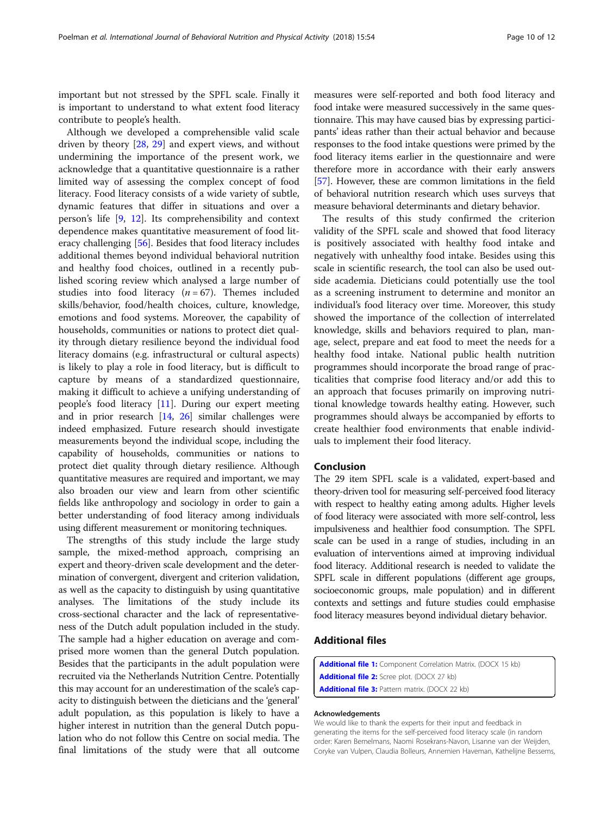<span id="page-9-0"></span>important but not stressed by the SPFL scale. Finally it is important to understand to what extent food literacy contribute to people's health.

Although we developed a comprehensible valid scale driven by theory [\[28,](#page-10-0) [29\]](#page-11-0) and expert views, and without undermining the importance of the present work, we acknowledge that a quantitative questionnaire is a rather limited way of assessing the complex concept of food literacy. Food literacy consists of a wide variety of subtle, dynamic features that differ in situations and over a person's life [[9,](#page-10-0) [12\]](#page-10-0). Its comprehensibility and context dependence makes quantitative measurement of food literacy challenging [\[56](#page-11-0)]. Besides that food literacy includes additional themes beyond individual behavioral nutrition and healthy food choices, outlined in a recently published scoring review which analysed a large number of studies into food literacy  $(n = 67)$ . Themes included skills/behavior, food/health choices, culture, knowledge, emotions and food systems. Moreover, the capability of households, communities or nations to protect diet quality through dietary resilience beyond the individual food literacy domains (e.g. infrastructural or cultural aspects) is likely to play a role in food literacy, but is difficult to capture by means of a standardized questionnaire, making it difficult to achieve a unifying understanding of people's food literacy [[11](#page-10-0)]. During our expert meeting and in prior research [\[14,](#page-10-0) [26\]](#page-10-0) similar challenges were indeed emphasized. Future research should investigate measurements beyond the individual scope, including the capability of households, communities or nations to protect diet quality through dietary resilience. Although quantitative measures are required and important, we may also broaden our view and learn from other scientific fields like anthropology and sociology in order to gain a better understanding of food literacy among individuals using different measurement or monitoring techniques.

The strengths of this study include the large study sample, the mixed-method approach, comprising an expert and theory-driven scale development and the determination of convergent, divergent and criterion validation, as well as the capacity to distinguish by using quantitative analyses. The limitations of the study include its cross-sectional character and the lack of representativeness of the Dutch adult population included in the study. The sample had a higher education on average and comprised more women than the general Dutch population. Besides that the participants in the adult population were recruited via the Netherlands Nutrition Centre. Potentially this may account for an underestimation of the scale's capacity to distinguish between the dieticians and the 'general' adult population, as this population is likely to have a higher interest in nutrition than the general Dutch population who do not follow this Centre on social media. The final limitations of the study were that all outcome

measures were self-reported and both food literacy and food intake were measured successively in the same questionnaire. This may have caused bias by expressing participants' ideas rather than their actual behavior and because responses to the food intake questions were primed by the food literacy items earlier in the questionnaire and were therefore more in accordance with their early answers [[57](#page-11-0)]. However, these are common limitations in the field of behavioral nutrition research which uses surveys that measure behavioral determinants and dietary behavior.

The results of this study confirmed the criterion validity of the SPFL scale and showed that food literacy is positively associated with healthy food intake and negatively with unhealthy food intake. Besides using this scale in scientific research, the tool can also be used outside academia. Dieticians could potentially use the tool as a screening instrument to determine and monitor an individual's food literacy over time. Moreover, this study showed the importance of the collection of interrelated knowledge, skills and behaviors required to plan, manage, select, prepare and eat food to meet the needs for a healthy food intake. National public health nutrition programmes should incorporate the broad range of practicalities that comprise food literacy and/or add this to an approach that focuses primarily on improving nutritional knowledge towards healthy eating. However, such programmes should always be accompanied by efforts to create healthier food environments that enable individuals to implement their food literacy.

## Conclusion

The 29 item SPFL scale is a validated, expert-based and theory-driven tool for measuring self-perceived food literacy with respect to healthy eating among adults. Higher levels of food literacy were associated with more self-control, less impulsiveness and healthier food consumption. The SPFL scale can be used in a range of studies, including in an evaluation of interventions aimed at improving individual food literacy. Additional research is needed to validate the SPFL scale in different populations (different age groups, socioeconomic groups, male population) and in different contexts and settings and future studies could emphasise food literacy measures beyond individual dietary behavior.

#### Additional files

[Additional file 1:](https://doi.org/10.1186/s12966-018-0687-z) Component Correlation Matrix. (DOCX 15 kb) [Additional file 2:](https://doi.org/10.1186/s12966-018-0687-z) Scree plot. (DOCX 27 kb) [Additional file 3:](https://doi.org/10.1186/s12966-018-0687-z) Pattern matrix. (DOCX 22 kb)

#### Acknowledgements

We would like to thank the experts for their input and feedback in generating the items for the self-perceived food literacy scale (in random order: Karen Bemelmans, Naomi Rosekrans-Navon, Lisanne van der Weijden, Coryke van Vulpen, Claudia Bolleurs, Annemien Haveman, Kathelijne Bessems,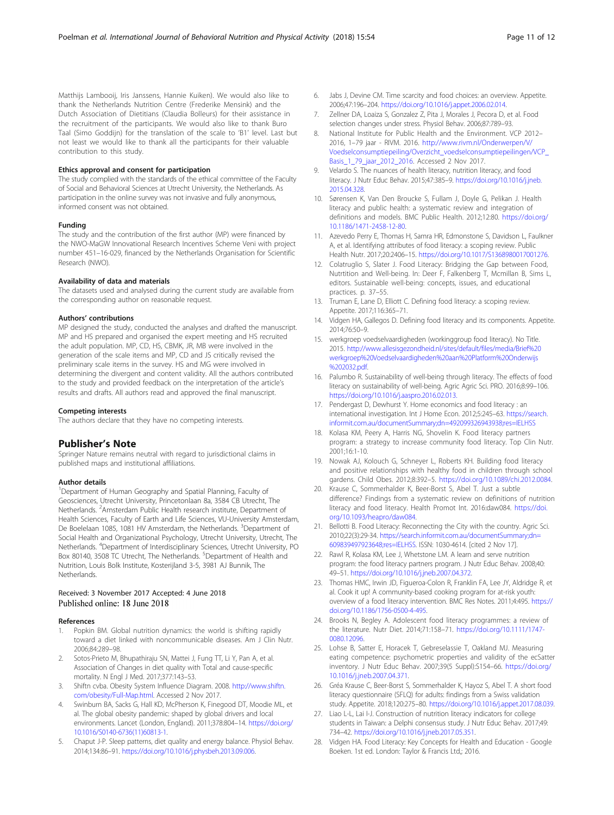<span id="page-10-0"></span>Matthijs Lambooij, Iris Janssens, Hannie Kuiken). We would also like to thank the Netherlands Nutrition Centre (Frederike Mensink) and the Dutch Association of Dietitians (Claudia Bolleurs) for their assistance in the recruitment of the participants. We would also like to thank Buro Taal (Simo Goddijn) for the translation of the scale to 'B1' level. Last but not least we would like to thank all the participants for their valuable contribution to this study.

#### Ethics approval and consent for participation

The study complied with the standards of the ethical committee of the Faculty of Social and Behavioral Sciences at Utrecht University, the Netherlands. As participation in the online survey was not invasive and fully anonymous, informed consent was not obtained.

#### Funding

The study and the contribution of the first author (MP) were financed by the NWO-MaGW Innovational Research Incentives Scheme Veni with project number 451–16-029, financed by the Netherlands Organisation for Scientific Research (NWO).

#### Availability of data and materials

The datasets used and analysed during the current study are available from the corresponding author on reasonable request.

#### Authors' contributions

MP designed the study, conducted the analyses and drafted the manuscript. MP and HS prepared and organised the expert meeting and HS recruited the adult population. MP, CD, HS, CBMK, JR, MB were involved in the generation of the scale items and MP, CD and JS critically revised the preliminary scale items in the survey. HS and MG were involved in determining the divergent and content validity. All the authors contributed to the study and provided feedback on the interpretation of the article's results and drafts. All authors read and approved the final manuscript.

#### Competing interests

The authors declare that they have no competing interests.

#### Publisher's Note

Springer Nature remains neutral with regard to jurisdictional claims in published maps and institutional affiliations.

#### Author details

<sup>1</sup>Department of Human Geography and Spatial Planning, Faculty of Geosciences, Utrecht University, Princetonlaan 8a, 3584 CB Utrecht, The Netherlands. <sup>2</sup> Amsterdam Public Health research institute, Department of Health Sciences, Faculty of Earth and Life Sciences, VU-University Amsterdam, De Boelelaan 1085, 1081 HV Amsterdam, the Netherlands. <sup>3</sup>Department of Social Health and Organizational Psychology, Utrecht University, Utrecht, The Netherlands. <sup>4</sup>Department of Interdisciplinary Sciences, Utrecht University, PO Box 80140, 3508 TC Utrecht, The Netherlands. <sup>5</sup>Department of Health and Nutrition, Louis Bolk Institute, Kosterijland 3-5, 3981 AJ Bunnik, The Netherlands.

#### Received: 3 November 2017 Accepted: 4 June 2018 Published online: 18 June 2018

#### References

- 1. Popkin BM. Global nutrition dynamics: the world is shifting rapidly toward a diet linked with noncommunicable diseases. Am J Clin Nutr. 2006;84:289–98.
- Sotos-Prieto M, Bhupathiraju SN, Mattei J, Fung TT, Li Y, Pan A, et al. Association of Changes in diet quality with Total and cause-specific mortality. N Engl J Med. 2017;377:143–53.
- 3. Shiftn cvba. Obesity System Influence Diagram. 2008. [http://www.shiftn.](http://www.shiftn.com/obesity/Full-Map.html) [com/obesity/Full-Map.html.](http://www.shiftn.com/obesity/Full-Map.html) Accessed 2 Nov 2017.
- 4. Swinburn BA, Sacks G, Hall KD, McPherson K, Finegood DT, Moodie ML, et al. The global obesity pandemic: shaped by global drivers and local environments. Lancet (London, England). 2011;378:804–14. [https://doi.org/](https://doi.org/10.1016/S0140-6736(11)60813-1) [10.1016/S0140-6736\(11\)60813-1.](https://doi.org/10.1016/S0140-6736(11)60813-1)
- 5. Chaput J-P. Sleep patterns, diet quality and energy balance. Physiol Behav. 2014;134:86–91. <https://doi.org/10.1016/j.physbeh.2013.09.006>.
- 6. Jabs J, Devine CM. Time scarcity and food choices: an overview. Appetite. 2006;47:196–204. [https://doi.org/10.1016/j.appet.2006.02.014.](https://doi.org/10.1016/j.appet.2006.02.014)
- 7. Zellner DA, Loaiza S, Gonzalez Z, Pita J, Morales J, Pecora D, et al. Food selection changes under stress. Physiol Behav. 2006;87:789–93.
- 8. National Institute for Public Health and the Environment. VCP 2012– 2016, 1–79 jaar - RIVM. 2016. [http://www.rivm.nl/Onderwerpen/V/](http://www.rivm.nl/Onderwerpen/V/Voedselconsumptiepeiling/Overzicht_voedselconsumptiepeilingen/VCP_Basis_1_79_jaar_2012_2016) [Voedselconsumptiepeiling/Overzicht\\_voedselconsumptiepeilingen/VCP\\_](http://www.rivm.nl/Onderwerpen/V/Voedselconsumptiepeiling/Overzicht_voedselconsumptiepeilingen/VCP_Basis_1_79_jaar_2012_2016) [Basis\\_1\\_79\\_jaar\\_2012\\_2016.](http://www.rivm.nl/Onderwerpen/V/Voedselconsumptiepeiling/Overzicht_voedselconsumptiepeilingen/VCP_Basis_1_79_jaar_2012_2016) Accessed 2 Nov 2017.
- 9. Velardo S. The nuances of health literacy, nutrition literacy, and food literacy. J Nutr Educ Behav. 2015;47:385–9. [https://doi.org/10.1016/j.jneb.](https://doi.org/10.1016/j.jneb.2015.04.328) [2015.04.328.](https://doi.org/10.1016/j.jneb.2015.04.328)
- 10. Sørensen K, Van Den Broucke S, Fullam J, Doyle G, Pelikan J. Health literacy and public health: a systematic review and integration of definitions and models. BMC Public Health. 2012;12:80. [https://doi.org/](https://doi.org/10.1186/1471-2458-12-80) [10.1186/1471-2458-12-80](https://doi.org/10.1186/1471-2458-12-80).
- 11. Azevedo Perry E, Thomas H, Samra HR, Edmonstone S, Davidson L, Faulkner A, et al. Identifying attributes of food literacy: a scoping review. Public Health Nutr. 2017;20:2406–15. <https://doi.org/10.1017/S1368980017001276>.
- 12. Colatruglio S, Slater J. Food Literacy: Bridging the Gap between Food, Nutrtition and Well-being. In: Deer F, Falkenberg T, Mcmillan B, Sims L, editors. Sustainable well-being: concepts, issues, and educational practices. p. 37–55.
- 13. Truman E, Lane D, Elliott C. Defining food literacy: a scoping review. Appetite. 2017;116:365–71.
- 14. Vidgen HA, Gallegos D. Defining food literacy and its components. Appetite. 2014;76:50–9.
- 15. werkgroep voedselvaardigheden (workinggroup food literacy). No Title. 2015. [http://www.allesisgezondheid.nl/sites/default/files/media/Brief%20](http://www.allesisgezondheid.nl/sites/default/files/media/Brief%20werkgroep%20Voedselvaardigheden%20aan%20Platform%20Onderwijs%202032.pdf) [werkgroep%20Voedselvaardigheden%20aan%20Platform%20Onderwijs](http://www.allesisgezondheid.nl/sites/default/files/media/Brief%20werkgroep%20Voedselvaardigheden%20aan%20Platform%20Onderwijs%202032.pdf) [%202032.pdf](http://www.allesisgezondheid.nl/sites/default/files/media/Brief%20werkgroep%20Voedselvaardigheden%20aan%20Platform%20Onderwijs%202032.pdf).
- 16. Palumbo R. Sustainability of well-being through literacy. The effects of food literacy on sustainability of well-being. Agric Agric Sci. PRO. 2016;8:99–106. <https://doi.org/10.1016/j.aaspro.2016.02.013.>
- 17. Pendergast D, Dewhurst Y. Home economics and food literacy : an international investigation. Int J Home Econ. 2012;5:245–63. [https://search.](https://search.informit.com.au/documentSummary;dn=492099326943938;res=IELHSS) [informit.com.au/documentSummary;dn=492099326943938;res=IELHSS](https://search.informit.com.au/documentSummary;dn=492099326943938;res=IELHSS)
- 18. Kolasa KM, Peery A, Harris NG, Shovelin K. Food literacy partners program: a strategy to increase community food literacy. Top Clin Nutr. 2001;16:1-10.
- 19. Nowak AJ, Kolouch G, Schneyer L, Roberts KH. Building food literacy and positive relationships with healthy food in children through school gardens. Child Obes. 2012;8:392–5. [https://doi.org/10.1089/chi.2012.0084.](https://doi.org/10.1089/chi.2012.0084)
- 20. Krause C, Sommerhalder K, Beer-Borst S, Abel T. Just a subtle difference? Findings from a systematic review on definitions of nutrition literacy and food literacy. Health Promot Int. 2016:daw084. [https://doi.](https://doi.org/10.1093/heapro/daw084) [org/10.1093/heapro/daw084](https://doi.org/10.1093/heapro/daw084).
- 21. Bellotti B. Food Literacy: Reconnecting the City with the country. Agric Sci. 2010;22(3):29-34. [https://search.informit.com.au/documentSummary;dn=](https://search.informit.com.au/documentSummary;dn=609839497923648;res=IELHSS) [609839497923648;res=IELHSS](https://search.informit.com.au/documentSummary;dn=609839497923648;res=IELHSS). ISSN: 1030-4614. [cited 2 Nov 17].
- 22. Rawl R, Kolasa KM, Lee J, Whetstone LM. A learn and serve nutrition program: the food literacy partners program. J Nutr Educ Behav. 2008;40: 49–51. [https://doi.org/10.1016/j.jneb.2007.04.372.](https://doi.org/10.1016/j.jneb.2007.04.372)
- 23. Thomas HMC, Irwin JD, Figueroa-Colon R, Franklin FA, Lee JY, Aldridge R, et al. Cook it up! A community-based cooking program for at-risk youth: overview of a food literacy intervention. BMC Res Notes. 2011;4:495. [https://](https://doi.org/10.1186/1756-0500-4-495) [doi.org/10.1186/1756-0500-4-495.](https://doi.org/10.1186/1756-0500-4-495)
- 24. Brooks N, Begley A. Adolescent food literacy programmes: a review of the literature. Nutr Diet. 2014;71:158–71. [https://doi.org/10.1111/1747-](https://doi.org/10.1111/1747-0080.12096) [0080.12096.](https://doi.org/10.1111/1747-0080.12096)
- 25. Lohse B, Satter E, Horacek T, Gebreselassie T, Oakland MJ. Measuring eating competence: psychometric properties and validity of the ecSatter inventory. J Nutr Educ Behav. 2007;39(5 Suppl):S154–66. [https://doi.org/](https://doi.org/10.1016/j.jneb.2007.04.371) [10.1016/j.jneb.2007.04.371.](https://doi.org/10.1016/j.jneb.2007.04.371)
- 26. Gréa Krause C, Beer-Borst S, Sommerhalder K, Hayoz S, Abel T. A short food literacy questionnaire (SFLQ) for adults: findings from a Swiss validation study. Appetite. 2018;120:275–80. <https://doi.org/10.1016/j.appet.2017.08.039>.
- 27. Liao L-L, Lai I-J. Construction of nutrition literacy indicators for college students in Taiwan: a Delphi consensus study. J Nutr Educ Behav. 2017;49: 734–42. <https://doi.org/10.1016/j.jneb.2017.05.351>.
- 28. Vidgen HA. Food Literacy: Key Concepts for Health and Education Google Boeken. 1st ed. London: Taylor & Francis Ltd,; 2016.